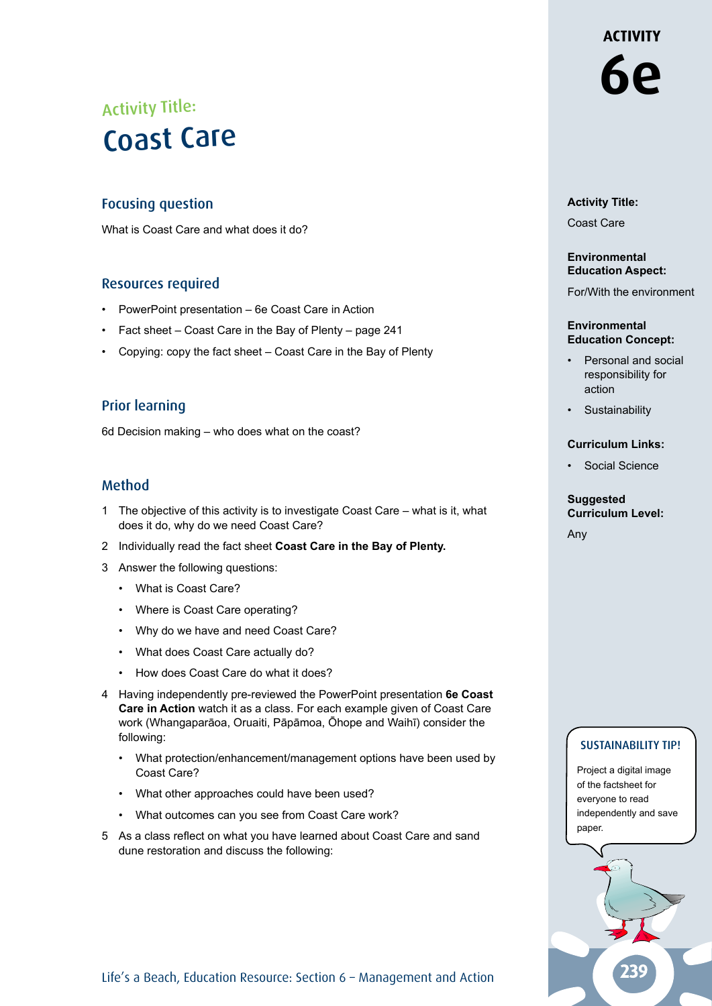## Activity Title: Coast Care

#### Focusing question

What is Coast Care and what does it do?

#### Resources required

- PowerPoint presentation 6e Coast Care in Action
- Fact sheet Coast Care in the Bay of Plenty page 241
- Copying: copy the fact sheet Coast Care in the Bay of Plenty

#### Prior learning

6d Decision making – who does what on the coast?

#### Method

- 1 The objective of this activity is to investigate Coast Care what is it, what does it do, why do we need Coast Care?
- 2 Individually read the fact sheet **Coast Care in the Bay of Plenty.**
- 3 Answer the following questions:
	- What is Coast Care?
	- Where is Coast Care operating?
	- Why do we have and need Coast Care?
	- What does Coast Care actually do?
	- How does Coast Care do what it does?
- 4 Having independently pre-reviewed the PowerPoint presentation **6e Coast Care in Action** watch it as a class. For each example given of Coast Care work (Whangaparāoa, Oruaiti, Pāpāmoa, Ōhope and Waihī) consider the following:
	- What protection/enhancement/management options have been used by Coast Care?
	- What other approaches could have been used?
	- What outcomes can you see from Coast Care work?
- 5 As a class reflect on what you have learned about Coast Care and sand dune restoration and discuss the following:

## **ACTIVITY 6e**

**Activity Title:** Coast Care

#### **Environmental Education Aspect:**

For/With the environment

#### **Environmental Education Concept:**

- Personal and social responsibility for action
- **Sustainability**

#### **Curriculum Links:**

• Social Science

#### **Suggested Curriculum Level:**

Any

#### SUSTAINABILITY TIP!

Project a digital image of the factsheet for everyone to read independently and save paper.



Life's a Beach, Education Resource: Section 6 - Management and Action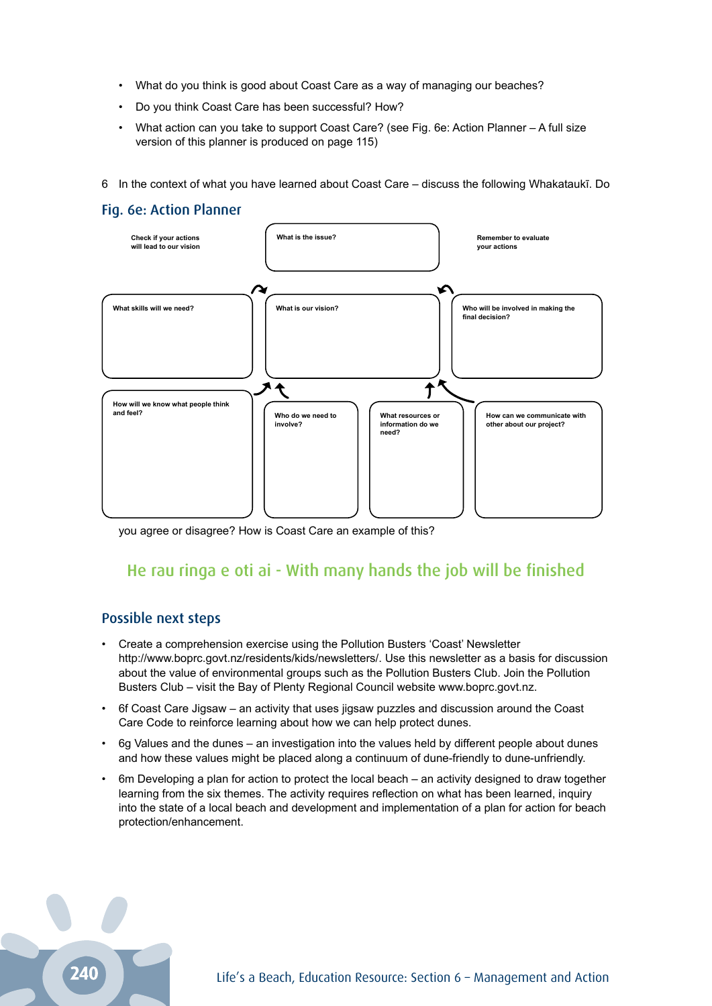- What do you think is good about Coast Care as a way of managing our beaches?
- Do you think Coast Care has been successful? How?
- What action can you take to support Coast Care? (see Fig. 6e: Action Planner A full size version of this planner is produced on page 115)
- 6 In the context of what you have learned about Coast Care discuss the following Whakataukī. Do

#### Fig. 6e: Action Planner



you agree or disagree? How is Coast Care an example of this?

### He rau ringa e oti ai - With many hands the job will be finished

#### Possible next steps

- Create a comprehension exercise using the Pollution Busters 'Coast' Newsletter http://www.boprc.govt.nz/residents/kids/newsletters/. Use this newsletter as a basis for discussion about the value of environmental groups such as the Pollution Busters Club. Join the Pollution Busters Club – visit the Bay of Plenty Regional Council website www.boprc.govt.nz.
- 6f Coast Care Jigsaw an activity that uses jigsaw puzzles and discussion around the Coast Care Code to reinforce learning about how we can help protect dunes.
- 6g Values and the dunes an investigation into the values held by different people about dunes and how these values might be placed along a continuum of dune-friendly to dune-unfriendly.
- 6m Developing a plan for action to protect the local beach an activity designed to draw together learning from the six themes. The activity requires reflection on what has been learned, inquiry into the state of a local beach and development and implementation of a plan for action for beach protection/enhancement.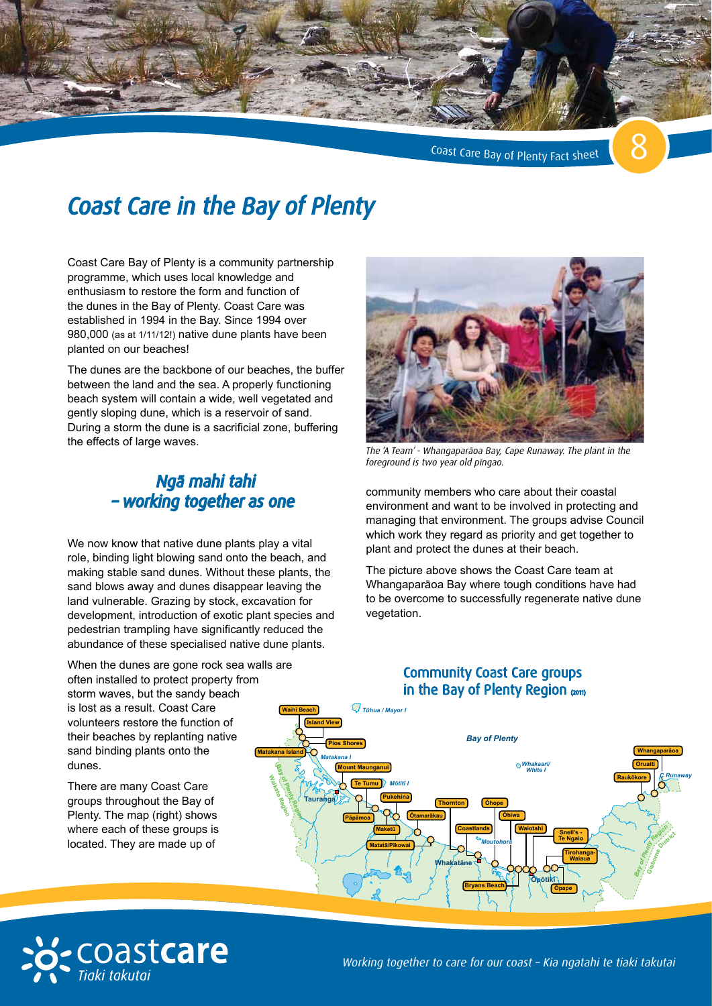

Coast Care Bay of Plenty Fact sheet

## *Coast Care in the Bay of Plenty*

Coast Care Bay of Plenty is a community partnership programme, which uses local knowledge and enthusiasm to restore the form and function of the dunes in the Bay of Plenty. Coast Care was established in 1994 in the Bay. Since 1994 over 980,000 (as at 1/11/12!) native dune plants have been planted on our beaches!

The dunes are the backbone of our beaches, the buffer between the land and the sea. A properly functioning beach system will contain a wide, well vegetated and gently sloping dune, which is a reservoir of sand. During a storm the dune is a sacrificial zone, buffering the effects of large waves.

### *Ngā mahi tahi – working together as one*

We now know that native dune plants play a vital role, binding light blowing sand onto the beach, and making stable sand dunes. Without these plants, the sand blows away and dunes disappear leaving the land vulnerable. Grazing by stock, excavation for development, introduction of exotic plant species and pedestrian trampling have significantly reduced the abundance of these specialised native dune plants.

When the dunes are gone rock sea walls are often installed to protect property from storm waves, but the sandy beach is lost as a result. Coast Care volunteers restore the function of their beaches by replanting native sand binding plants onto the dunes.

There are many Coast Care groups throughout the Bay of Plenty. The map (right) shows where each of these groups is located. They are made up of



*The 'A Team' - Whangaparāoa Bay, Cape Runaway. The plant in the foreground is two year old pīngao.*

community members who care about their coastal environment and want to be involved in protecting and managing that environment. The groups advise Council which work they regard as priority and get together to plant and protect the dunes at their beach.

The picture above shows the Coast Care team at Whangaparāoa Bay where tough conditions have had to be overcome to successfully regenerate native dune vegetation.

### are **Community Coast Care groups** in the Bay of Plenty Region (2011)



*Map current 2011*